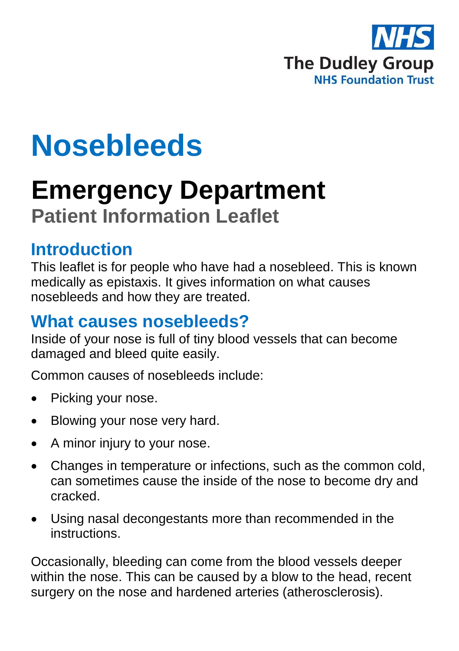

# **Nosebleeds**

## **Emergency Department Patient Information Leaflet**

#### **Introduction**

This leaflet is for people who have had a nosebleed. This is known medically as epistaxis. It gives information on what causes nosebleeds and how they are treated.

#### **What causes nosebleeds?**

Inside of your nose is full of tiny blood vessels that can become damaged and bleed quite easily.

Common causes of nosebleeds include:

- Picking your nose.
- Blowing your nose very hard.
- A minor injury to your nose.
- Changes in temperature or infections, such as the common cold, can sometimes cause the inside of the nose to become dry and cracked.
- Using nasal decongestants more than recommended in the instructions.

Occasionally, bleeding can come from the blood vessels deeper within the nose. This can be caused by a blow to the head, recent surgery on the nose and hardened arteries (atherosclerosis).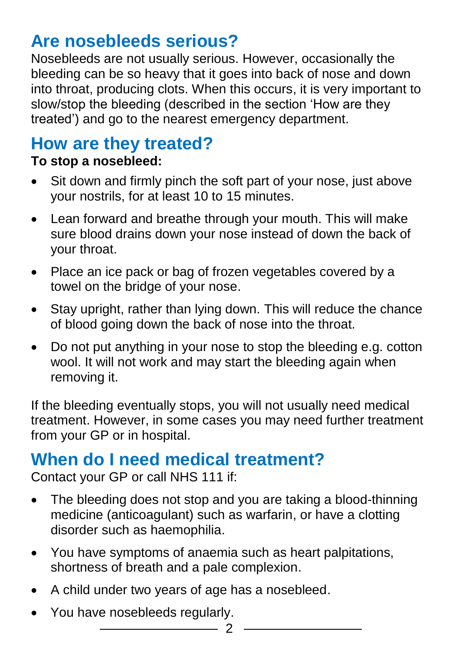## **Are nosebleeds serious?**

Nosebleeds are not usually serious. However, occasionally the bleeding can be so heavy that it goes into back of nose and down into throat, producing clots. When this occurs, it is very important to slow/stop the bleeding (described in the section 'How are they treated') and go to the nearest emergency department.

### **How are they treated?**

#### **To stop a nosebleed:**

- Sit down and firmly pinch the soft part of your nose, just above your nostrils, for at least 10 to 15 minutes.
- Lean forward and breathe through your mouth. This will make sure blood drains down your nose instead of down the back of your throat.
- Place an ice pack or bag of frozen vegetables covered by a towel on the bridge of your nose.
- Stay upright, rather than lying down. This will reduce the chance of blood going down the back of nose into the throat.
- Do not put anything in your nose to stop the bleeding e.g. cotton wool. It will not work and may start the bleeding again when removing it.

If the bleeding eventually stops, you will not usually need medical treatment. However, in some cases you may need further treatment from your GP or in hospital.

#### **When do I need medical treatment?**

Contact your GP or call NHS 111 if:

• The bleeding does not stop and you are taking a blood-thinning medicine (anticoagulant) such as warfarin, or have a clotting disorder such as haemophilia.

 $\mathfrak{D}$ 

- You have symptoms of anaemia such as heart palpitations, shortness of breath and a pale complexion.
- A child under two years of age has a nosebleed.
- You have nosebleeds regularly.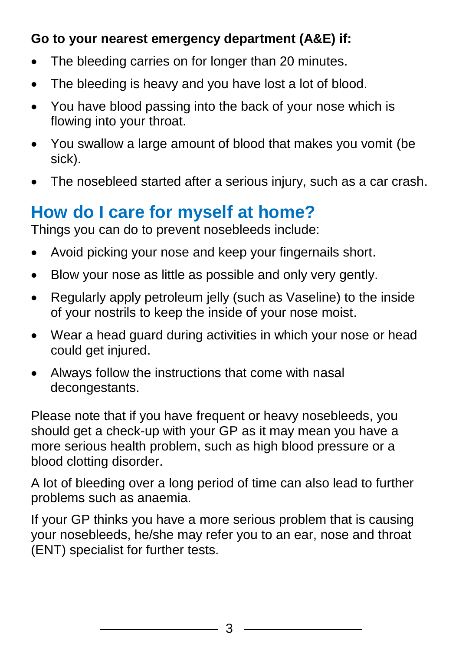#### **Go to your nearest emergency department (A&E) if:**

- The bleeding carries on for longer than 20 minutes.
- The bleeding is heavy and you have lost a lot of blood.
- You have blood passing into the back of your nose which is flowing into your throat.
- You swallow a large amount of blood that makes you vomit (be sick).
- The nosebleed started after a serious injury, such as a car crash.

## **How do I care for myself at home?**

Things you can do to prevent nosebleeds include:

- Avoid picking your nose and keep your fingernails short.
- Blow your nose as little as possible and only very gently.
- Regularly apply petroleum jelly (such as Vaseline) to the inside of your nostrils to keep the inside of your nose moist.
- Wear a head guard during activities in which your nose or head could get injured.
- Always follow the instructions that come with nasal decongestants.

Please note that if you have frequent or heavy nosebleeds, you should get a check-up with your GP as it may mean you have a more serious health problem, such as high blood pressure or a blood clotting disorder.

A lot of bleeding over a long period of time can also lead to further problems such as anaemia.

If your GP thinks you have a more serious problem that is causing your nosebleeds, he/she may refer you to an ear, nose and throat (ENT) specialist for further tests.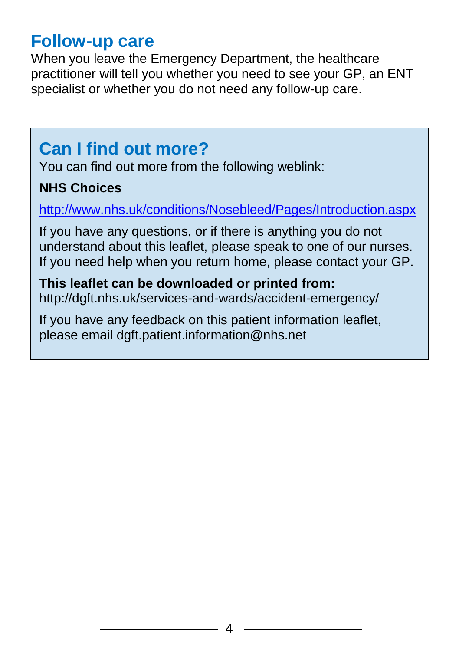#### **Follow-up care**

When you leave the Emergency Department, the healthcare practitioner will tell you whether you need to see your GP, an ENT specialist or whether you do not need any follow-up care.

## **Can I find out more?**

You can find out more from the following weblink:

#### **NHS Choices**

<http://www.nhs.uk/conditions/Nosebleed/Pages/Introduction.aspx>

If you have any questions, or if there is anything you do not understand about this leaflet, please speak to one of our nurses. If you need help when you return home, please contact your GP.

#### **This leaflet can be downloaded or printed from:** http://dgft.nhs.uk/services-and-wards/accident-emergency/

If you have any feedback on this patient information leaflet, please email dgft.patient.information@nhs.net